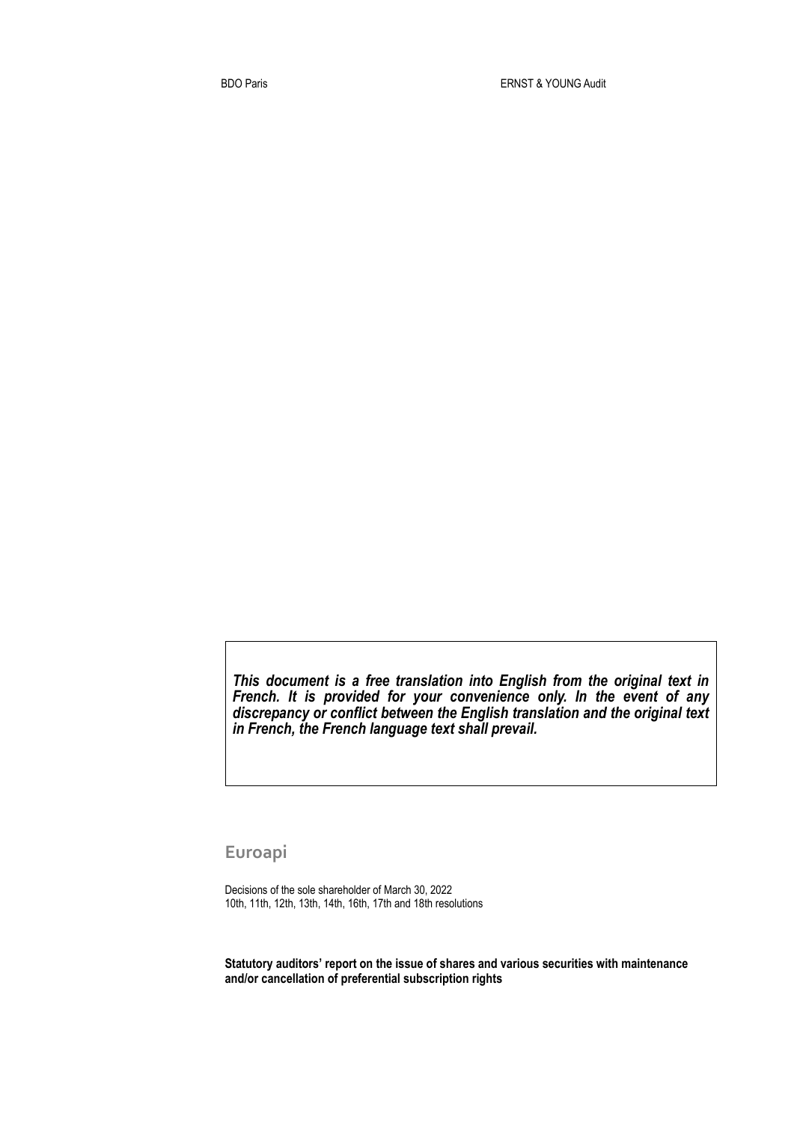*This document is a free translation into English from the original text in French. It is provided for your convenience only. In the event of any discrepancy or conflict between the English translation and the original text in French, the French language text shall prevail.* 

**Euroapi**

Decisions of the sole shareholder of March 30, 2022 10th, 11th, 12th, 13th, 14th, 16th, 17th and 18th resolutions

**Statutory auditors' report on the issue of shares and various securities with maintenance and/or cancellation of preferential subscription rights**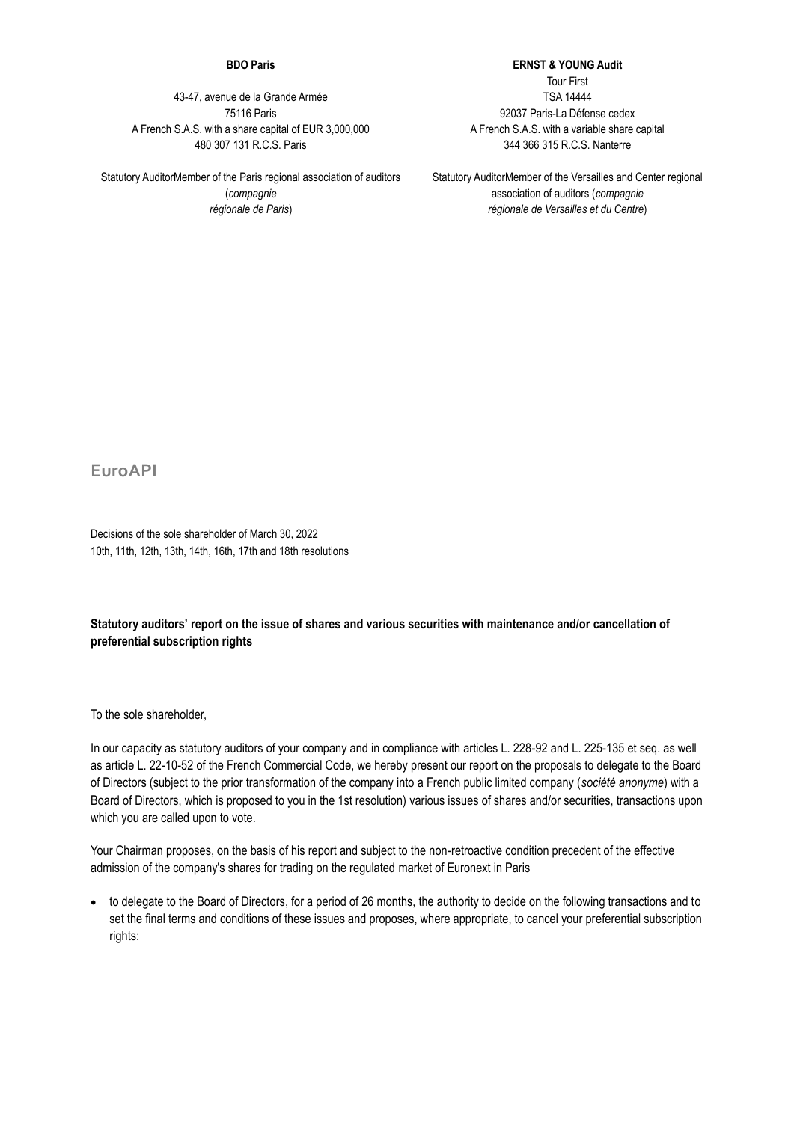## **BDO Paris**

43-47, avenue de la Grande Armée 75116 Paris A French S.A.S. with a share capital of EUR 3,000,000 480 307 131 R.C.S. Paris

Statutory AuditorMember of the Paris regional association of auditors (*compagnie régionale de Paris*)

**ERNST & YOUNG Audit** Tour First TSA 14444 92037 Paris-La Défense cedex A French S.A.S. with a variable share capital 344 366 315 R.C.S. Nanterre

Statutory AuditorMember of the Versailles and Center regional association of auditors (*compagnie régionale de Versailles et du Centre*)

**EuroAPI**

Decisions of the sole shareholder of March 30, 2022 10th, 11th, 12th, 13th, 14th, 16th, 17th and 18th resolutions

## **Statutory auditors' report on the issue of shares and various securities with maintenance and/or cancellation of preferential subscription rights**

To the sole shareholder,

In our capacity as statutory auditors of your company and in compliance with articles L. 228-92 and L. 225-135 et seq. as well as article L. 22-10-52 of the French Commercial Code, we hereby present our report on the proposals to delegate to the Board of Directors (subject to the prior transformation of the company into a French public limited company (*société anonyme*) with a Board of Directors, which is proposed to you in the 1st resolution) various issues of shares and/or securities, transactions upon which you are called upon to vote.

Your Chairman proposes, on the basis of his report and subject to the non-retroactive condition precedent of the effective admission of the company's shares for trading on the regulated market of Euronext in Paris

• to delegate to the Board of Directors, for a period of 26 months, the authority to decide on the following transactions and to set the final terms and conditions of these issues and proposes, where appropriate, to cancel your preferential subscription rights: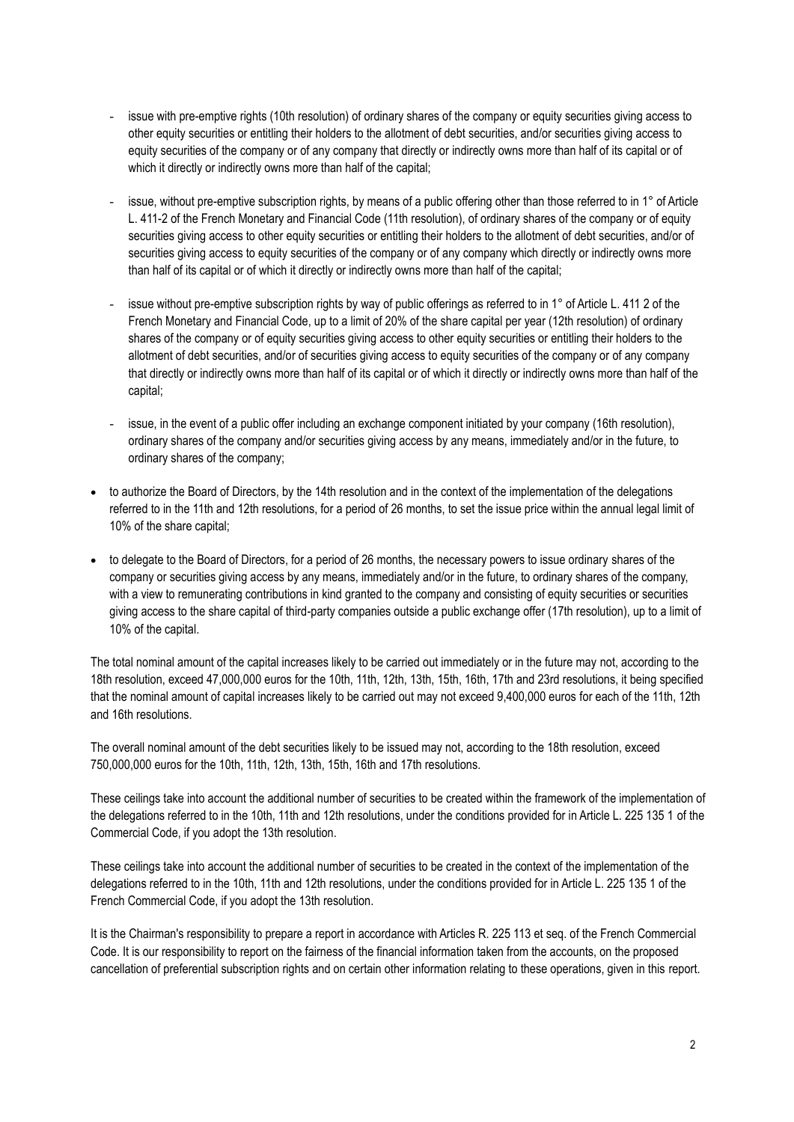- issue with pre-emptive rights (10th resolution) of ordinary shares of the company or equity securities giving access to other equity securities or entitling their holders to the allotment of debt securities, and/or securities giving access to equity securities of the company or of any company that directly or indirectly owns more than half of its capital or of which it directly or indirectly owns more than half of the capital;
- issue, without pre-emptive subscription rights, by means of a public offering other than those referred to in 1° of Article L. 411-2 of the French Monetary and Financial Code (11th resolution), of ordinary shares of the company or of equity securities giving access to other equity securities or entitling their holders to the allotment of debt securities, and/or of securities giving access to equity securities of the company or of any company which directly or indirectly owns more than half of its capital or of which it directly or indirectly owns more than half of the capital;
- issue without pre-emptive subscription rights by way of public offerings as referred to in 1° of Article L. 411 2 of the French Monetary and Financial Code, up to a limit of 20% of the share capital per year (12th resolution) of ordinary shares of the company or of equity securities giving access to other equity securities or entitling their holders to the allotment of debt securities, and/or of securities giving access to equity securities of the company or of any company that directly or indirectly owns more than half of its capital or of which it directly or indirectly owns more than half of the capital;
- issue, in the event of a public offer including an exchange component initiated by your company (16th resolution), ordinary shares of the company and/or securities giving access by any means, immediately and/or in the future, to ordinary shares of the company;
- to authorize the Board of Directors, by the 14th resolution and in the context of the implementation of the delegations referred to in the 11th and 12th resolutions, for a period of 26 months, to set the issue price within the annual legal limit of 10% of the share capital;
- to delegate to the Board of Directors, for a period of 26 months, the necessary powers to issue ordinary shares of the company or securities giving access by any means, immediately and/or in the future, to ordinary shares of the company, with a view to remunerating contributions in kind granted to the company and consisting of equity securities or securities giving access to the share capital of third-party companies outside a public exchange offer (17th resolution), up to a limit of 10% of the capital.

The total nominal amount of the capital increases likely to be carried out immediately or in the future may not, according to the 18th resolution, exceed 47,000,000 euros for the 10th, 11th, 12th, 13th, 15th, 16th, 17th and 23rd resolutions, it being specified that the nominal amount of capital increases likely to be carried out may not exceed 9,400,000 euros for each of the 11th, 12th and 16th resolutions.

The overall nominal amount of the debt securities likely to be issued may not, according to the 18th resolution, exceed 750,000,000 euros for the 10th, 11th, 12th, 13th, 15th, 16th and 17th resolutions.

These ceilings take into account the additional number of securities to be created within the framework of the implementation of the delegations referred to in the 10th, 11th and 12th resolutions, under the conditions provided for in Article L. 225 135 1 of the Commercial Code, if you adopt the 13th resolution.

These ceilings take into account the additional number of securities to be created in the context of the implementation of the delegations referred to in the 10th, 11th and 12th resolutions, under the conditions provided for in Article L. 225 135 1 of the French Commercial Code, if you adopt the 13th resolution.

It is the Chairman's responsibility to prepare a report in accordance with Articles R. 225 113 et seq. of the French Commercial Code. It is our responsibility to report on the fairness of the financial information taken from the accounts, on the proposed cancellation of preferential subscription rights and on certain other information relating to these operations, given in this report.